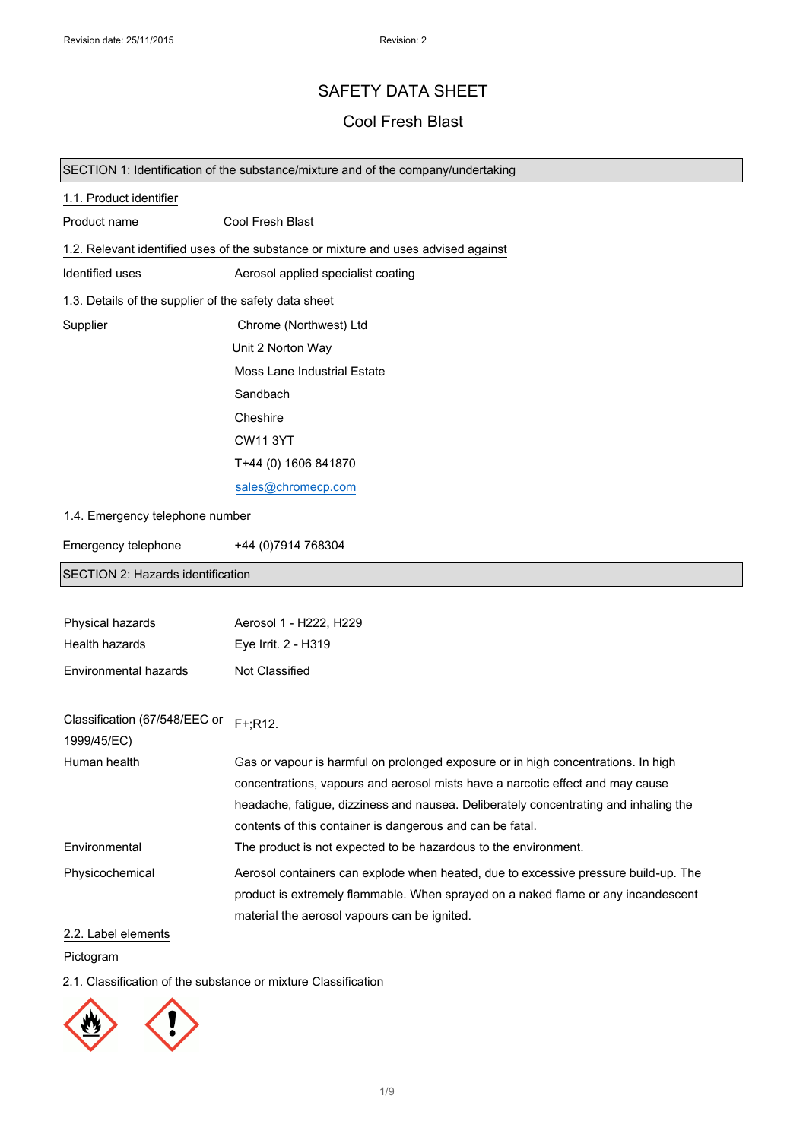# SAFETY DATA SHEET

# Cool Fresh Blast

### SECTION 1: Identification of the substance/mixture and of the company/undertaking

| 1.1. Product identifier                               |                                                                                      |
|-------------------------------------------------------|--------------------------------------------------------------------------------------|
| Product name                                          | Cool Fresh Blast                                                                     |
|                                                       | 1.2. Relevant identified uses of the substance or mixture and uses advised against   |
| Identified uses                                       | Aerosol applied specialist coating                                                   |
| 1.3. Details of the supplier of the safety data sheet |                                                                                      |
| Supplier                                              | Chrome (Northwest) Ltd                                                               |
|                                                       | Unit 2 Norton Way                                                                    |
|                                                       | <b>Moss Lane Industrial Estate</b>                                                   |
|                                                       | Sandbach                                                                             |
|                                                       | Cheshire                                                                             |
|                                                       | <b>CW11 3YT</b>                                                                      |
|                                                       | T+44 (0) 1606 841870                                                                 |
|                                                       | sales@chromecp.com                                                                   |
| 1.4. Emergency telephone number                       |                                                                                      |
| Emergency telephone                                   | +44 (0) 7914 768304                                                                  |
| SECTION 2: Hazards identification                     |                                                                                      |
|                                                       |                                                                                      |
| Physical hazards                                      | Aerosol 1 - H222, H229                                                               |
| Health hazards                                        | Eye Irrit. 2 - H319                                                                  |
| Environmental hazards                                 | Not Classified                                                                       |
|                                                       |                                                                                      |
| Classification (67/548/EEC or<br>1999/45/EC)          | $F+;R12.$                                                                            |
| Human health                                          | Gas or vapour is harmful on prolonged exposure or in high concentrations. In high    |
|                                                       | concentrations, vapours and aerosol mists have a narcotic effect and may cause       |
|                                                       | headache, fatigue, dizziness and nausea. Deliberately concentrating and inhaling the |
|                                                       | contents of this container is dangerous and can be fatal.                            |
| Environmental                                         | The product is not expected to be hazardous to the environment.                      |
| Physicochemical                                       | Aerosol containers can explode when heated, due to excessive pressure build-up. The  |
|                                                       | product is extremely flammable. When sprayed on a naked flame or any incandescent    |
| 2.2. Label elements                                   | material the aerosol vapours can be ignited.                                         |
| Pictogram                                             |                                                                                      |

## 2.1. Classification of the substance or mixture Classification

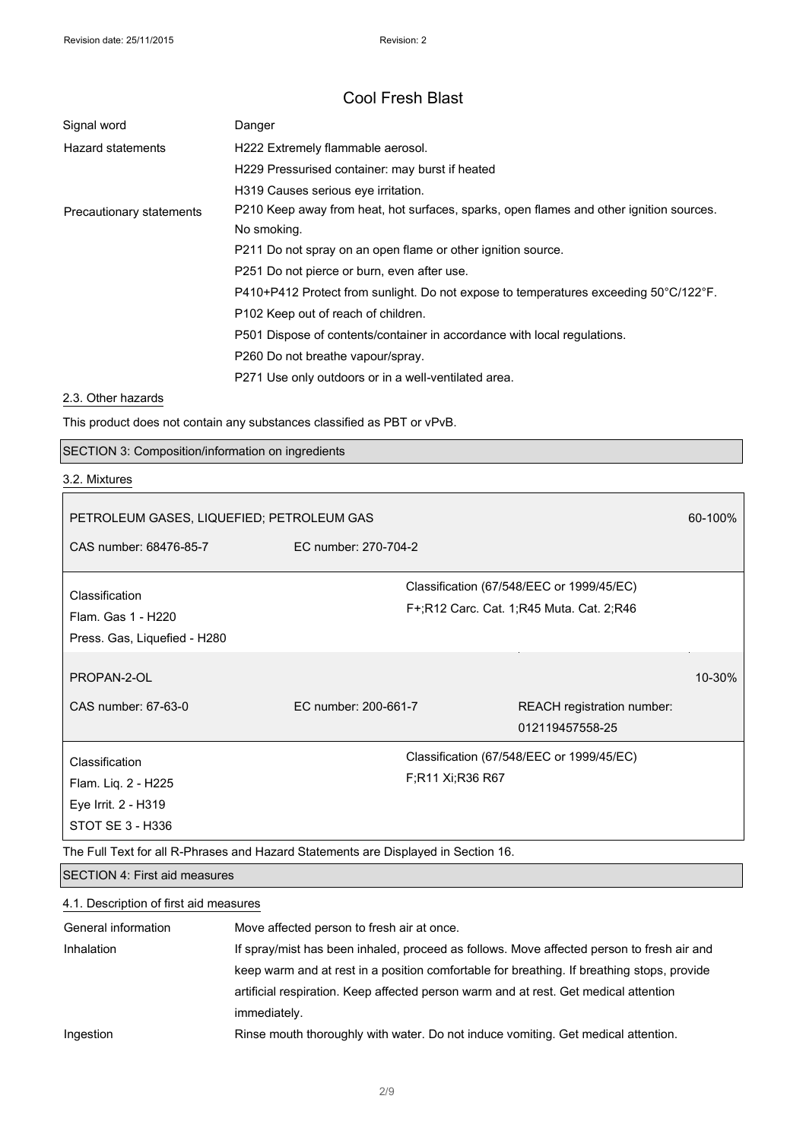| Signal word              | Danger                                                                                                 |
|--------------------------|--------------------------------------------------------------------------------------------------------|
| <b>Hazard statements</b> | H222 Extremely flammable aerosol.                                                                      |
|                          | H229 Pressurised container: may burst if heated                                                        |
|                          | H319 Causes serious eye irritation.                                                                    |
| Precautionary statements | P210 Keep away from heat, hot surfaces, sparks, open flames and other ignition sources.<br>No smoking. |
|                          | P211 Do not spray on an open flame or other ignition source.                                           |
|                          | P251 Do not pierce or burn, even after use.                                                            |
|                          | P410+P412 Protect from sunlight. Do not expose to temperatures exceeding 50°C/122°F.                   |
|                          | P102 Keep out of reach of children.                                                                    |
|                          | P501 Dispose of contents/container in accordance with local regulations.                               |
|                          | P260 Do not breathe vapour/spray.                                                                      |
|                          | P271 Use only outdoors or in a well-ventilated area.                                                   |

#### 2.3. Other hazards

This product does not contain any substances classified as PBT or vPvB.

SECTION 3: Composition/information on ingredients

#### 3.2. Mixtures

 $\mathsf I$ 

| PETROLEUM GASES, LIQUEFIED; PETROLEUM GAS                                          |                      |                  | 60-100%                                                                               |            |
|------------------------------------------------------------------------------------|----------------------|------------------|---------------------------------------------------------------------------------------|------------|
| CAS number: 68476-85-7                                                             | FC number: 270-704-2 |                  |                                                                                       |            |
| Classification<br>Flam. Gas 1 - H220<br>Press. Gas, Liquefied - H280               |                      |                  | Classification (67/548/EEC or 1999/45/EC)<br>F+;R12 Carc. Cat. 1;R45 Muta. Cat. 2;R46 |            |
| PROPAN-2-OL<br>CAS number: 67-63-0                                                 | EC number: 200-661-7 |                  | REACH registration number:                                                            | $10 - 30%$ |
|                                                                                    |                      |                  | 012119457558-25                                                                       |            |
| Classification<br>Flam. Liq. 2 - H225<br>Eye Irrit. 2 - H319<br>STOT SE 3 - H336   |                      | F;R11 Xi;R36 R67 | Classification (67/548/EEC or 1999/45/EC)                                             |            |
| The Full Text for all R-Phrases and Hazard Statements are Displayed in Section 16. |                      |                  |                                                                                       |            |

# SECTION 4: First aid measures

# 4.1. Description of first aid measures General information Move affected person to fresh air at once. Inhalation If spray/mist has been inhaled, proceed as follows. Move affected person to fresh air and keep warm and at rest in a position comfortable for breathing. If breathing stops, provide artificial respiration. Keep affected person warm and at rest. Get medical attention immediately. Ingestion Rinse mouth thoroughly with water. Do not induce vomiting. Get medical attention.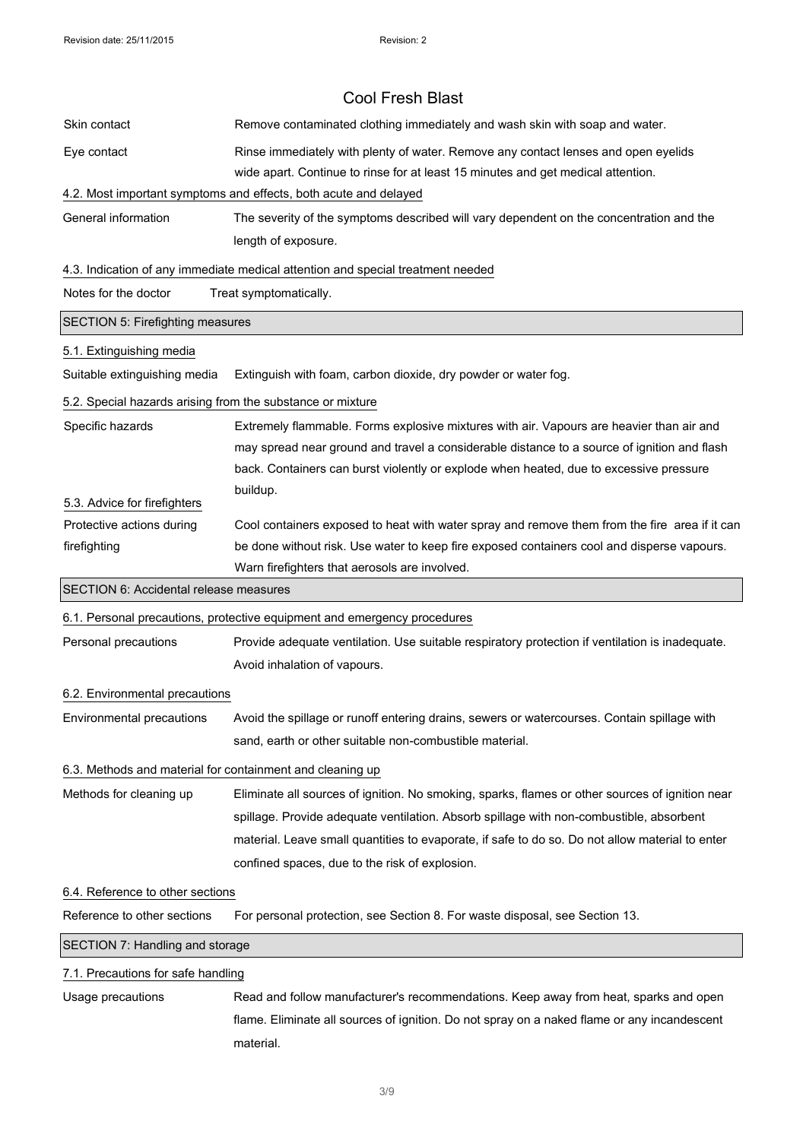|                                                            | <b>Cool Fresh Blast</b>                                                                                                                                                                     |
|------------------------------------------------------------|---------------------------------------------------------------------------------------------------------------------------------------------------------------------------------------------|
| Skin contact                                               | Remove contaminated clothing immediately and wash skin with soap and water.                                                                                                                 |
| Eye contact                                                | Rinse immediately with plenty of water. Remove any contact lenses and open eyelids                                                                                                          |
|                                                            | wide apart. Continue to rinse for at least 15 minutes and get medical attention.                                                                                                            |
|                                                            | 4.2. Most important symptoms and effects, both acute and delayed                                                                                                                            |
| General information                                        | The severity of the symptoms described will vary dependent on the concentration and the                                                                                                     |
|                                                            | length of exposure.                                                                                                                                                                         |
|                                                            | 4.3. Indication of any immediate medical attention and special treatment needed                                                                                                             |
| Notes for the doctor                                       | Treat symptomatically.                                                                                                                                                                      |
| <b>SECTION 5: Firefighting measures</b>                    |                                                                                                                                                                                             |
| 5.1. Extinguishing media                                   |                                                                                                                                                                                             |
| Suitable extinguishing media                               | Extinguish with foam, carbon dioxide, dry powder or water fog.                                                                                                                              |
| 5.2. Special hazards arising from the substance or mixture |                                                                                                                                                                                             |
| Specific hazards                                           | Extremely flammable. Forms explosive mixtures with air. Vapours are heavier than air and                                                                                                    |
|                                                            | may spread near ground and travel a considerable distance to a source of ignition and flash                                                                                                 |
|                                                            | back. Containers can burst violently or explode when heated, due to excessive pressure                                                                                                      |
|                                                            | buildup.                                                                                                                                                                                    |
| 5.3. Advice for firefighters                               |                                                                                                                                                                                             |
| Protective actions during<br>firefighting                  | Cool containers exposed to heat with water spray and remove them from the fire area if it can<br>be done without risk. Use water to keep fire exposed containers cool and disperse vapours. |
|                                                            | Warn firefighters that aerosols are involved.                                                                                                                                               |
| SECTION 6: Accidental release measures                     |                                                                                                                                                                                             |
|                                                            | 6.1. Personal precautions, protective equipment and emergency procedures                                                                                                                    |
| Personal precautions                                       | Provide adequate ventilation. Use suitable respiratory protection if ventilation is inadequate.                                                                                             |
|                                                            | Avoid inhalation of vapours.                                                                                                                                                                |
| 6.2. Environmental precautions                             |                                                                                                                                                                                             |
| Environmental precautions                                  | Avoid the spillage or runoff entering drains, sewers or watercourses. Contain spillage with                                                                                                 |
|                                                            | sand, earth or other suitable non-combustible material.                                                                                                                                     |
|                                                            | 6.3. Methods and material for containment and cleaning up                                                                                                                                   |
| Methods for cleaning up                                    | Eliminate all sources of ignition. No smoking, sparks, flames or other sources of ignition near                                                                                             |
|                                                            | spillage. Provide adequate ventilation. Absorb spillage with non-combustible, absorbent                                                                                                     |
|                                                            | material. Leave small quantities to evaporate, if safe to do so. Do not allow material to enter                                                                                             |
|                                                            | confined spaces, due to the risk of explosion.                                                                                                                                              |
| 6.4. Reference to other sections                           |                                                                                                                                                                                             |
| Reference to other sections                                | For personal protection, see Section 8. For waste disposal, see Section 13.                                                                                                                 |
| SECTION 7: Handling and storage                            |                                                                                                                                                                                             |
| 7.1. Precautions for safe handling                         |                                                                                                                                                                                             |
| Usage precautions                                          | Read and follow manufacturer's recommendations. Keep away from heat, sparks and open                                                                                                        |
|                                                            | flame. Eliminate all sources of ignition. Do not spray on a naked flame or any incandescent                                                                                                 |
|                                                            |                                                                                                                                                                                             |

#### 3/9

material.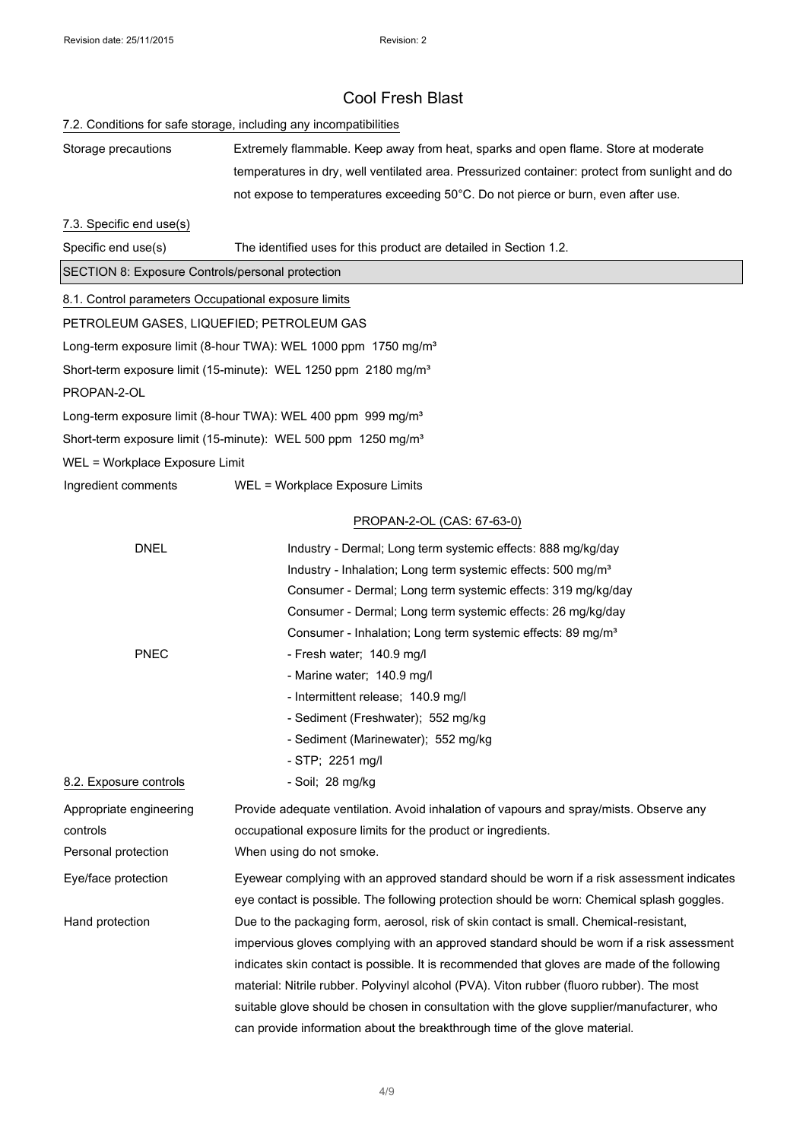#### 7.2. Conditions for safe storage, including any incompatibilities

Storage precautions Extremely flammable. Keep away from heat, sparks and open flame. Store at moderate temperatures in dry, well ventilated area. Pressurized container: protect from sunlight and do not expose to temperatures exceeding 50°C. Do not pierce or burn, even after use.

#### 7.3. Specific end use(s)

Specific end use(s) The identified uses for this product are detailed in Section 1.2.

SECTION 8: Exposure Controls/personal protection

8.1. Control parameters Occupational exposure limits

PETROLEUM GASES, LIQUEFIED; PETROLEUM GAS

Long-term exposure limit (8-hour TWA): WEL 1000 ppm 1750 mg/m<sup>3</sup>

Short-term exposure limit (15-minute): WEL 1250 ppm 2180 mg/m<sup>3</sup>

PROPAN-2-OL

Long-term exposure limit (8-hour TWA): WEL 400 ppm 999 mg/m<sup>3</sup>

Short-term exposure limit (15-minute): WEL 500 ppm 1250 mg/m<sup>3</sup>

WEL = Workplace Exposure Limit

Ingredient comments WEL = Workplace Exposure Limits

#### PROPAN-2-OL (CAS: 67-63-0)

| <b>DNEL</b>             | Industry - Dermal; Long term systemic effects: 888 mg/kg/day                                |
|-------------------------|---------------------------------------------------------------------------------------------|
|                         | Industry - Inhalation; Long term systemic effects: 500 mg/m <sup>3</sup>                    |
|                         | Consumer - Dermal; Long term systemic effects: 319 mg/kg/day                                |
|                         | Consumer - Dermal; Long term systemic effects: 26 mg/kg/day                                 |
|                         | Consumer - Inhalation; Long term systemic effects: 89 mg/m <sup>3</sup>                     |
| <b>PNEC</b>             | - Fresh water; 140.9 mg/l                                                                   |
|                         | - Marine water; 140.9 mg/l                                                                  |
|                         | - Intermittent release; 140.9 mg/l                                                          |
|                         | - Sediment (Freshwater); 552 mg/kg                                                          |
|                         | - Sediment (Marinewater); 552 mg/kg                                                         |
|                         | - STP; 2251 mg/l                                                                            |
| 8.2. Exposure controls  | - Soil: 28 mg/kg                                                                            |
| Appropriate engineering | Provide adequate ventilation. Avoid inhalation of vapours and spray/mists. Observe any      |
| controls                | occupational exposure limits for the product or ingredients.                                |
| Personal protection     | When using do not smoke.                                                                    |
| Eye/face protection     | Eyewear complying with an approved standard should be worn if a risk assessment indicates   |
|                         | eye contact is possible. The following protection should be worn: Chemical splash goggles.  |
| Hand protection         | Due to the packaging form, aerosol, risk of skin contact is small. Chemical-resistant,      |
|                         | impervious gloves complying with an approved standard should be worn if a risk assessment   |
|                         | indicates skin contact is possible. It is recommended that gloves are made of the following |
|                         | material: Nitrile rubber. Polyvinyl alcohol (PVA). Viton rubber (fluoro rubber). The most   |
|                         | suitable glove should be chosen in consultation with the glove supplier/manufacturer, who   |
|                         | can provide information about the breakthrough time of the glove material.                  |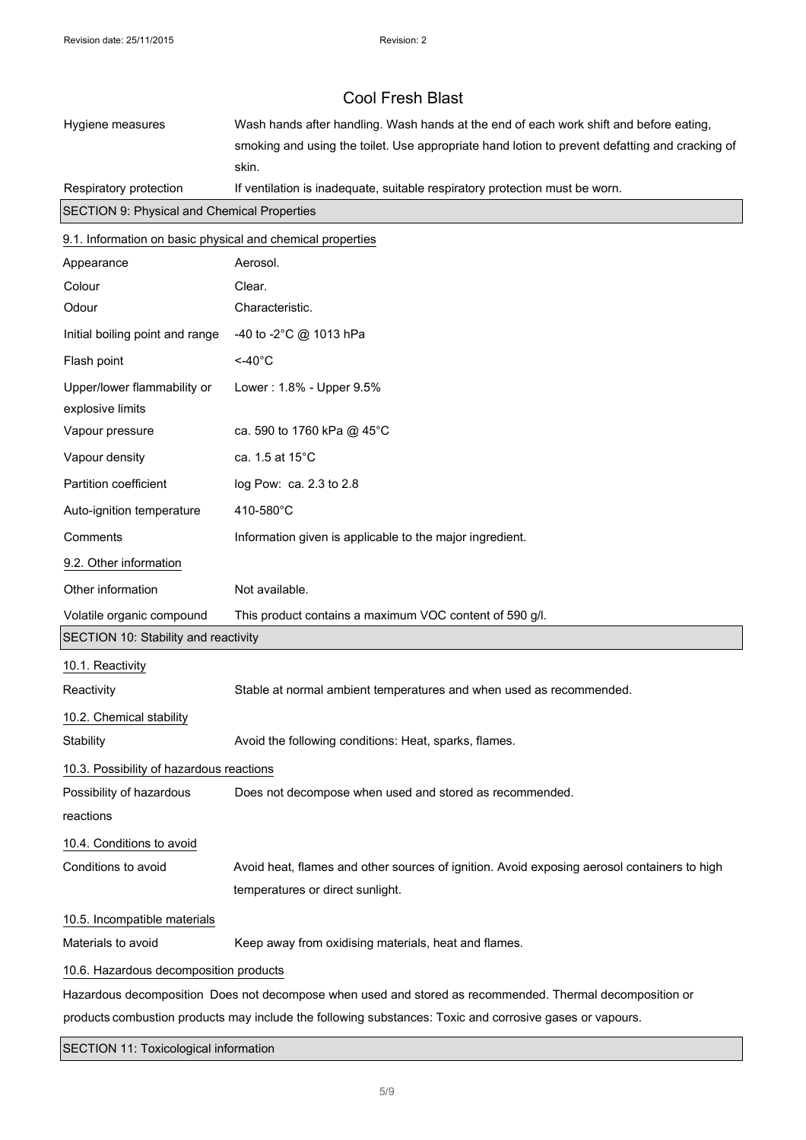| Hygiene measures                                                      | Wash hands after handling. Wash hands at the end of each work shift and before eating,                   |
|-----------------------------------------------------------------------|----------------------------------------------------------------------------------------------------------|
|                                                                       | smoking and using the toilet. Use appropriate hand lotion to prevent defatting and cracking of           |
|                                                                       | skin.                                                                                                    |
| Respiratory protection<br>SECTION 9: Physical and Chemical Properties | If ventilation is inadequate, suitable respiratory protection must be worn.                              |
|                                                                       |                                                                                                          |
| 9.1. Information on basic physical and chemical properties            |                                                                                                          |
| Appearance                                                            | Aerosol.                                                                                                 |
| Colour                                                                | Clear.                                                                                                   |
| Odour                                                                 | Characteristic.                                                                                          |
| Initial boiling point and range                                       | -40 to -2°C @ 1013 hPa                                                                                   |
| Flash point                                                           | $<$ -40 $^{\circ}$ C                                                                                     |
| Upper/lower flammability or<br>explosive limits                       | Lower: 1.8% - Upper 9.5%                                                                                 |
| Vapour pressure                                                       | ca. 590 to 1760 kPa @ 45°C                                                                               |
| Vapour density                                                        | ca. 1.5 at 15°C                                                                                          |
| Partition coefficient                                                 | log Pow: ca. 2.3 to 2.8                                                                                  |
| Auto-ignition temperature                                             | 410-580°C                                                                                                |
| Comments                                                              | Information given is applicable to the major ingredient.                                                 |
| 9.2. Other information                                                |                                                                                                          |
| Other information                                                     | Not available.                                                                                           |
| Volatile organic compound                                             | This product contains a maximum VOC content of 590 g/l.                                                  |
| SECTION 10: Stability and reactivity                                  |                                                                                                          |
| 10.1. Reactivity                                                      |                                                                                                          |
| Reactivity                                                            | Stable at normal ambient temperatures and when used as recommended.                                      |
| 10.2. Chemical stability                                              |                                                                                                          |
| Stability                                                             | Avoid the following conditions: Heat, sparks, flames.                                                    |
| 10.3. Possibility of hazardous reactions                              |                                                                                                          |
| Possibility of hazardous                                              | Does not decompose when used and stored as recommended.                                                  |
| reactions                                                             |                                                                                                          |
| 10.4. Conditions to avoid                                             |                                                                                                          |
| Conditions to avoid                                                   | Avoid heat, flames and other sources of ignition. Avoid exposing aerosol containers to high              |
|                                                                       | temperatures or direct sunlight.                                                                         |
| 10.5. Incompatible materials                                          |                                                                                                          |
| Materials to avoid                                                    | Keep away from oxidising materials, heat and flames.                                                     |
| 10.6. Hazardous decomposition products                                |                                                                                                          |
|                                                                       | Hazardous decomposition Does not decompose when used and stored as recommended. Thermal decomposition or |
|                                                                       | products combustion products may include the following substances: Toxic and corrosive gases or vapours. |

## SECTION 11: Toxicological information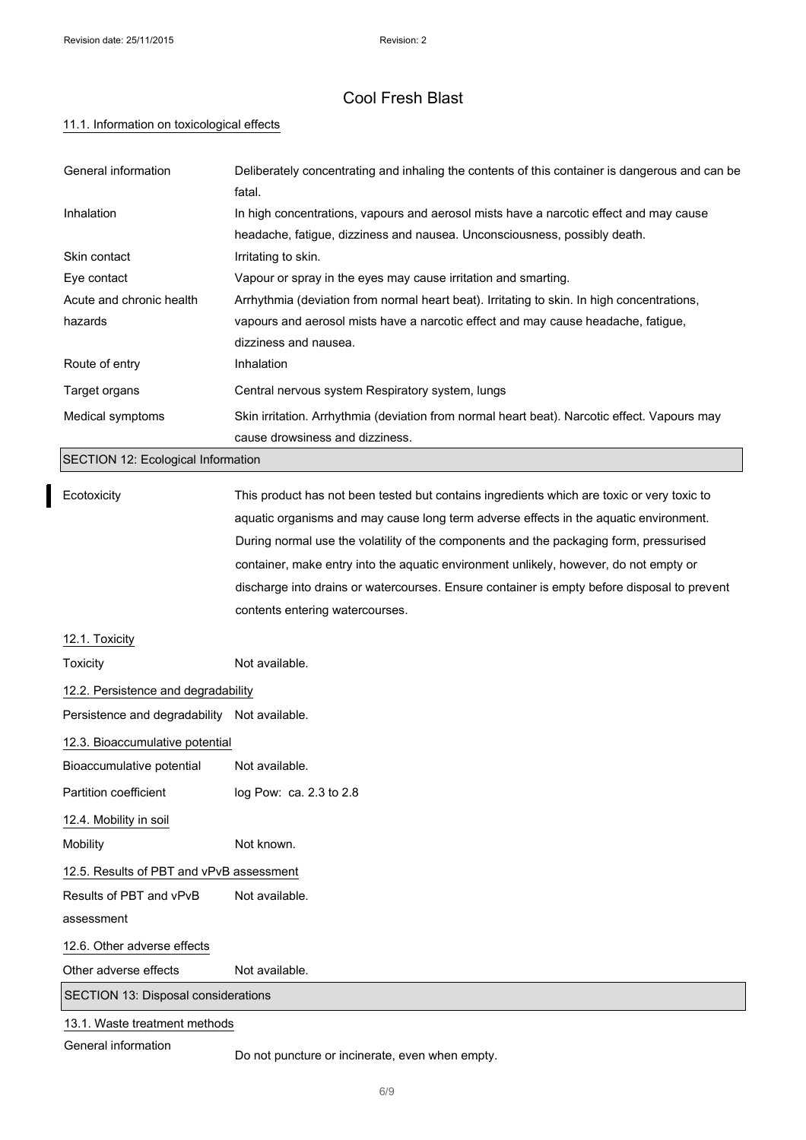$\mathbf I$ 

# Cool Fresh Blast

### 11.1. Information on toxicological effects

| General information                          | Deliberately concentrating and inhaling the contents of this container is dangerous and can be<br>fatal. |  |
|----------------------------------------------|----------------------------------------------------------------------------------------------------------|--|
| Inhalation                                   | In high concentrations, vapours and aerosol mists have a narcotic effect and may cause                   |  |
|                                              | headache, fatigue, dizziness and nausea. Unconsciousness, possibly death.                                |  |
| Skin contact                                 | Irritating to skin.                                                                                      |  |
| Eye contact                                  | Vapour or spray in the eyes may cause irritation and smarting.                                           |  |
| Acute and chronic health                     | Arrhythmia (deviation from normal heart beat). Irritating to skin. In high concentrations,               |  |
| hazards                                      | vapours and aerosol mists have a narcotic effect and may cause headache, fatigue,                        |  |
|                                              | dizziness and nausea.                                                                                    |  |
| Route of entry                               | Inhalation                                                                                               |  |
| Target organs                                | Central nervous system Respiratory system, lungs                                                         |  |
| Medical symptoms                             | Skin irritation. Arrhythmia (deviation from normal heart beat). Narcotic effect. Vapours may             |  |
|                                              | cause drowsiness and dizziness.                                                                          |  |
| SECTION 12: Ecological Information           |                                                                                                          |  |
| Ecotoxicity                                  | This product has not been tested but contains ingredients which are toxic or very toxic to               |  |
|                                              | aquatic organisms and may cause long term adverse effects in the aquatic environment.                    |  |
|                                              | During normal use the volatility of the components and the packaging form, pressurised                   |  |
|                                              | container, make entry into the aquatic environment unlikely, however, do not empty or                    |  |
|                                              | discharge into drains or watercourses. Ensure container is empty before disposal to prevent              |  |
|                                              | contents entering watercourses.                                                                          |  |
| 12.1. Toxicity                               |                                                                                                          |  |
| Toxicity                                     | Not available.                                                                                           |  |
| 12.2. Persistence and degradability          |                                                                                                          |  |
| Persistence and degradability Not available. |                                                                                                          |  |
| 12.3. Bioaccumulative potential              |                                                                                                          |  |
| Bioaccumulative potential                    | Not available.                                                                                           |  |
| Partition coefficient                        | log Pow: ca. 2.3 to 2.8                                                                                  |  |
| 12.4. Mobility in soil                       |                                                                                                          |  |
| Mobility                                     | Not known.                                                                                               |  |
| 12.5. Results of PBT and vPvB assessment     |                                                                                                          |  |
| Results of PBT and vPvB                      | Not available.                                                                                           |  |
| assessment                                   |                                                                                                          |  |
| 12.6. Other adverse effects                  |                                                                                                          |  |
| Other adverse effects                        | Not available.                                                                                           |  |
| SECTION 13: Disposal considerations          |                                                                                                          |  |
| 13.1. Waste treatment methods                |                                                                                                          |  |

General information

Do not puncture or incinerate, even when empty.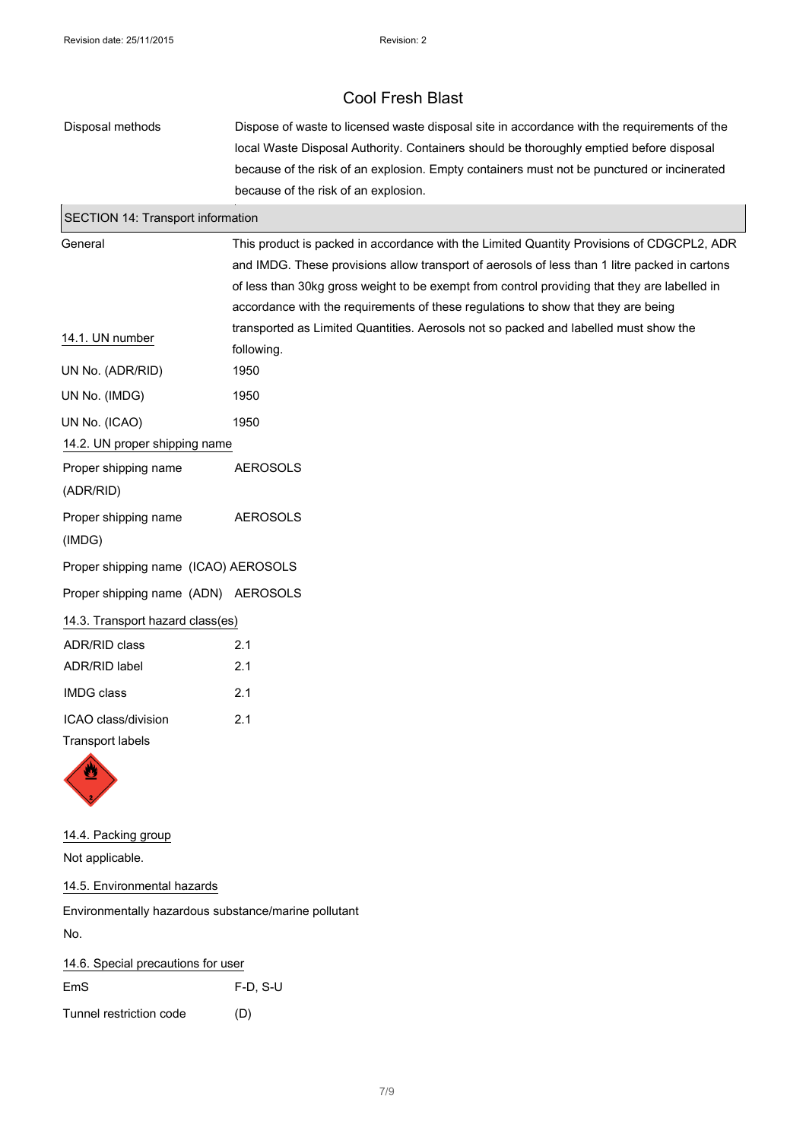| Disposal methods                               | Dispose of waste to licensed waste disposal site in accordance with the requirements of the<br>local Waste Disposal Authority. Containers should be thoroughly emptied before disposal<br>because of the risk of an explosion. Empty containers must not be punctured or incinerated<br>because of the risk of an explosion.                                                    |  |
|------------------------------------------------|---------------------------------------------------------------------------------------------------------------------------------------------------------------------------------------------------------------------------------------------------------------------------------------------------------------------------------------------------------------------------------|--|
| SECTION 14: Transport information              |                                                                                                                                                                                                                                                                                                                                                                                 |  |
| General                                        | This product is packed in accordance with the Limited Quantity Provisions of CDGCPL2, ADR<br>and IMDG. These provisions allow transport of aerosols of less than 1 litre packed in cartons<br>of less than 30kg gross weight to be exempt from control providing that they are labelled in<br>accordance with the requirements of these regulations to show that they are being |  |
| 14.1. UN number                                | transported as Limited Quantities. Aerosols not so packed and labelled must show the<br>following.                                                                                                                                                                                                                                                                              |  |
| UN No. (ADR/RID)                               | 1950                                                                                                                                                                                                                                                                                                                                                                            |  |
| UN No. (IMDG)                                  | 1950                                                                                                                                                                                                                                                                                                                                                                            |  |
| UN No. (ICAO)                                  | 1950                                                                                                                                                                                                                                                                                                                                                                            |  |
| 14.2. UN proper shipping name                  |                                                                                                                                                                                                                                                                                                                                                                                 |  |
| Proper shipping name<br>(ADR/RID)              | <b>AEROSOLS</b>                                                                                                                                                                                                                                                                                                                                                                 |  |
| Proper shipping name<br>(IMDG)                 | <b>AEROSOLS</b>                                                                                                                                                                                                                                                                                                                                                                 |  |
| Proper shipping name (ICAO) AEROSOLS           |                                                                                                                                                                                                                                                                                                                                                                                 |  |
| Proper shipping name (ADN) AEROSOLS            |                                                                                                                                                                                                                                                                                                                                                                                 |  |
| 14.3. Transport hazard class(es)               |                                                                                                                                                                                                                                                                                                                                                                                 |  |
| <b>ADR/RID class</b>                           | 2.1                                                                                                                                                                                                                                                                                                                                                                             |  |
| ADR/RID label                                  | 2.1                                                                                                                                                                                                                                                                                                                                                                             |  |
| <b>IMDG class</b>                              | 2.1                                                                                                                                                                                                                                                                                                                                                                             |  |
| ICAO class/division<br><b>Transport labels</b> | 2.1                                                                                                                                                                                                                                                                                                                                                                             |  |

14.4. Packing group Not applicable.

14.5. Environmental hazards

Environmentally hazardous substance/marine pollutant No.

14.6. Special precautions for user EmS F-D, S-U Tunnel restriction code (D)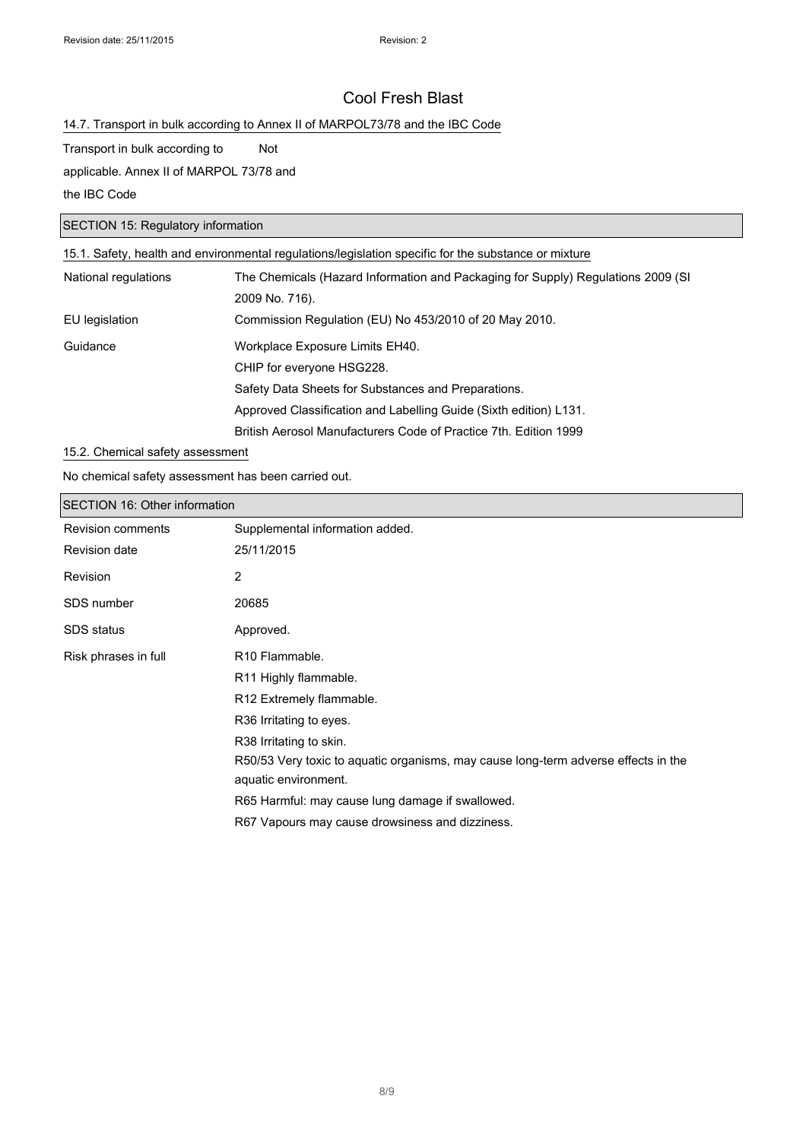### 14.7. Transport in bulk according to Annex II of MARPOL73/78 and the IBC Code

### Transport in bulk according to Not

applicable. Annex II of MARPOL 73/78 and

the IBC Code

### SECTION 15: Regulatory information

| 15.1. Safety, health and environmental regulations/legislation specific for the substance or mixture |                                                                                  |  |
|------------------------------------------------------------------------------------------------------|----------------------------------------------------------------------------------|--|
| National regulations                                                                                 | The Chemicals (Hazard Information and Packaging for Supply) Regulations 2009 (SI |  |
|                                                                                                      | 2009 No. 716).                                                                   |  |
| EU legislation                                                                                       | Commission Regulation (EU) No 453/2010 of 20 May 2010.                           |  |
| Guidance                                                                                             | Workplace Exposure Limits EH40.                                                  |  |
|                                                                                                      | CHIP for everyone HSG228.                                                        |  |
|                                                                                                      | Safety Data Sheets for Substances and Preparations.                              |  |
|                                                                                                      | Approved Classification and Labelling Guide (Sixth edition) L131.                |  |
|                                                                                                      | British Aerosol Manufacturers Code of Practice 7th. Edition 1999                 |  |

### 15.2. Chemical safety assessment

No chemical safety assessment has been carried out.

| <b>SECTION 16: Other information</b> |                                                                                    |  |
|--------------------------------------|------------------------------------------------------------------------------------|--|
| <b>Revision comments</b>             | Supplemental information added.                                                    |  |
| <b>Revision date</b>                 | 25/11/2015                                                                         |  |
| Revision                             | 2                                                                                  |  |
| SDS number                           | 20685                                                                              |  |
| SDS status                           | Approved.                                                                          |  |
| Risk phrases in full                 | R <sub>10</sub> Flammable.                                                         |  |
|                                      | R <sub>11</sub> Highly flammable.                                                  |  |
|                                      | R12 Extremely flammable.                                                           |  |
|                                      | R36 Irritating to eyes.                                                            |  |
|                                      | R38 Irritating to skin.                                                            |  |
|                                      | R50/53 Very toxic to aguatic organisms, may cause long-term adverse effects in the |  |
|                                      | aquatic environment.                                                               |  |
|                                      | R65 Harmful: may cause lung damage if swallowed.                                   |  |
|                                      | R67 Vapours may cause drowsiness and dizziness.                                    |  |